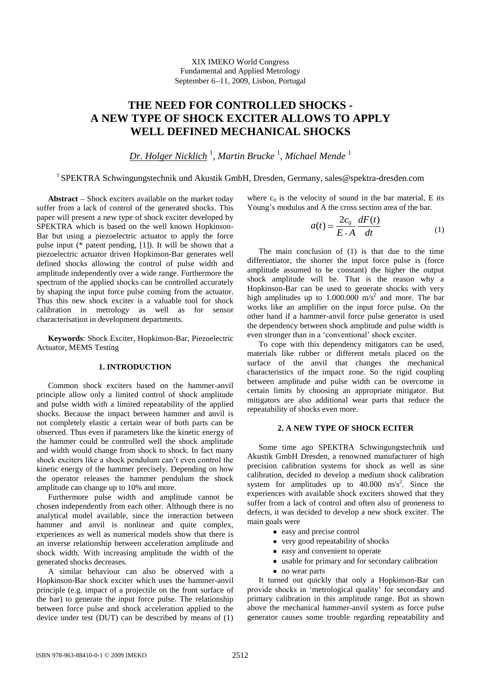XIX IMEKO World Congress Fundamental and Applied Metrology September 6-11, 2009, Lisbon, Portugal

# **THE NEED FOR CONTROLLED SHOCKS - A NEW TYPE OF SHOCK EXCITER ALLOWS TO APPLY WELL DEFINED MECHANICAL SHOCKS**

*Dr. Holger Nicklich* <sup>1</sup> , *Martin Brucke* <sup>1</sup> , *Michael Mende* <sup>1</sup>

# <sup>1</sup> SPEKTRA Schwingungstechnik und Akustik GmbH, Dresden, Germany, sales@spektra-dresden.com

Abstract - Shock exciters available on the market today suffer from a lack of control of the generated shocks. This paper will present a new type of shock exciter developed by SPEKTRA which is based on the well known Hopkinson-Bar but using a piezoelectric actuator to apply the force pulse input (\* patent pending, [1]). It will be shown that a piezoelectric actuator driven Hopkinson-Bar generates well defined shocks allowing the control of pulse width and amplitude independently over a wide range. Furthermore the spectrum of the applied shocks can be controlled accurately by shaping the input force pulse coming from the actuator. Thus this new shock exciter is a valuable tool for shock calibration in metrology as well as for sensor characterisation in development departments.

**Keywords**: Shock Exciter, Hopkinson-Bar, Piezoelectric Actuator, MEMS Testing

## **1. INTRODUCTION**

Common shock exciters based on the hammer-anvil principle allow only a limited control of shock amplitude and pulse width with a limited repeatability of the applied shocks. Because the impact between hammer and anvil is not completely elastic a certain wear of both parts can be observed. Thus even if parameters like the kinetic energy of the hammer could be controlled well the shock amplitude and width would change from shock to shock. In fact many shock exciters like a shock pendulum can't even control the kinetic energy of the hammer precisely. Depending on how the operator releases the hammer pendulum the shock amplitude can change up to 10% and more.

Furthermore pulse width and amplitude cannot be chosen independently from each other. Although there is no analytical model available, since the interaction between hammer and anvil is nonlinear and quite complex, experiences as well as numerical models show that there is an inverse relationship between acceleration amplitude and shock width. With increasing amplitude the width of the generated shocks decreases.

A similar behaviour can also be observed with a Hopkinson-Bar shock exciter which uses the hammer-anvil principle (e.g. impact of a projectile on the front surface of the bar) to generate the input force pulse. The relationship between force pulse and shock acceleration applied to the device under test (DUT) can be described by means of (1)

where  $c_0$  is the velocity of sound in the bar material, E its Young's modulus and A the cross section area of the bar.

$$
a(t) = \frac{2c_0}{E \cdot A} \frac{dF(t)}{dt}
$$
 (1)

The main conclusion of (1) is that due to the time differentiator, the shorter the input force pulse is (force amplitude assumed to be constant) the higher the output shock amplitude will be. That is the reason why a Hopkinson-Bar can be used to generate shocks with very high amplitudes up to  $1.000.000$  m/s<sup>2</sup> and more. The bar works like an amplifier on the input force pulse. On the other hand if a hammer-anvil force pulse generator is used the dependency between shock amplitude and pulse width is even stronger than in a 'conventional' shock exciter.

To cope with this dependency mitigators can be used, materials like rubber or different metals placed on the surface of the anvil that changes the mechanical characteristics of the impact zone. So the rigid coupling between amplitude and pulse width can be overcome in certain limits by choosing an appropriate mitigator. But mitigators are also additional wear parts that reduce the repeatability of shocks even more.

## **2. A NEW TYPE OF SHOCK ECITER**

Some time ago SPEKTRA Schwingungstechnik und Akustik GmbH Dresden, a renowned manufacturer of high precision calibration systems for shock as well as sine calibration, decided to develop a medium shock calibration system for amplitudes up to  $40.000 \text{ m/s}^2$ . Since the experiences with available shock exciters showed that they suffer from a lack of control and often also of proneness to defects, it was decided to develop a new shock exciter. The main goals were

- easy and precise control
- very good repeatability of shocks
- easy and convenient to operate
- usable for primary and for secondary calibration
- no wear parts

It turned out quickly that only a Hopkinson-Bar can provide shocks in 'metrological quality' for secondary and primary calibration in this amplitude range. But as shown above the mechanical hammer-anvil system as force pulse generator causes some trouble regarding repeatability and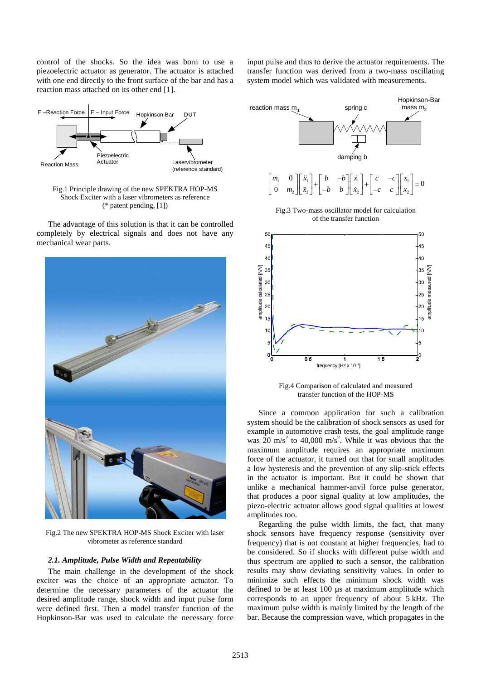control of the shocks. So the idea was born to use a piezoelectric actuator as generator. The actuator is attached with one end directly to the front surface of the bar and has a reaction mass attached on its other end [1].



Fig.1 Principle drawing of the new SPEKTRA HOP-MS Shock Exciter with a laser vibrometers as reference (\* patent pending, [1])

The advantage of this solution is that it can be controlled completely by electrical signals and does not have any mechanical wear parts.



Fig.2 The new SPEKTRA HOP-MS Shock Exciter with laser vibrometer as reference standard

#### *2.1. Amplitude, Pulse Width and Repeatability*

The main challenge in the development of the shock exciter was the choice of an appropriate actuator. To determine the necessary parameters of the actuator the desired amplitude range, shock width and input pulse form were defined first. Then a model transfer function of the Hopkinson-Bar was used to calculate the necessary force input pulse and thus to derive the actuator requirements. The transfer function was derived from a two-mass oscillating system model which was validated with measurements.



Fig.4 Comparison of calculated and measured transfer function of the HOP-MS

Since a common application for such a calibration system should be the calibration of shock sensors as used for example in automotive crash tests, the goal amplitude range was  $20 \text{ m/s}^2$  to 40,000 m/s<sup>2</sup>. While it was obvious that the maximum amplitude requires an appropriate maximum force of the actuator, it turned out that for small amplitudes a low hysteresis and the prevention of any slip-stick effects in the actuator is important. But it could be shown that unlike a mechanical hammer-anvil force pulse generator, that produces a poor signal quality at low amplitudes, the piezo-electric actuator allows good signal qualities at lowest amplitudes too.

Regarding the pulse width limits, the fact, that many shock sensors have frequency response (sensitivity over frequency) that is not constant at higher frequencies, had to be considered. So if shocks with different pulse width and thus spectrum are applied to such a sensor, the calibration results may show deviating sensitivity values. In order to minimize such effects the minimum shock width was defined to be at least 100 µs at maximum amplitude which corresponds to an upper frequency of about 5 kHz. The maximum pulse width is mainly limited by the length of the bar. Because the compression wave, which propagates in the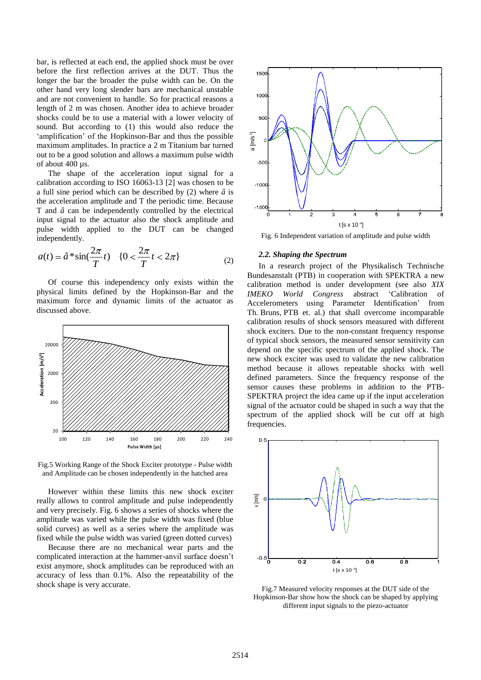bar, is reflected at each end, the applied shock must be over before the first reflection arrives at the DUT. Thus the longer the bar the broader the pulse width can be. On the other hand very long slender bars are mechanical unstable and are not convenient to handle. So for practical reasons a length of 2 m was chosen. Another idea to achieve broader shocks could be to use a material with a lower velocity of sound. But according to (1) this would also reduce the 'amplification' of the Hopkinson-Bar and thus the possible maximum amplitudes. In practice a 2 m Titanium bar turned out to be a good solution and allows a maximum pulse width of about 400 µs.

The shape of the acceleration input signal for a calibration according to ISO 16063-13 [2] was chosen to be a full sine period which can be described by (2) where *â* is the acceleration amplitude and T the periodic time. Because T and *â* can be independently controlled by the electrical input signal to the actuator also the shock amplitude and pulse width applied to the DUT can be changed independently.

$$
a(t) = \hat{a}^* \sin(\frac{2\pi}{T}t) \quad \{0 < \frac{2\pi}{T}t < 2\pi\} \tag{2}
$$

Of course this independency only exists within the physical limits defined by the Hopkinson-Bar and the maximum force and dynamic limits of the actuator as discussed above.



Fig.5 Working Range of the Shock Exciter prototype - Pulse width and Amplitude can be chosen independently in the hatched area

However within these limits this new shock exciter really allows to control amplitude and pulse independently and very precisely. Fig. 6 shows a series of shocks where the amplitude was varied while the pulse width was fixed (blue solid curves) as well as a series where the amplitude was fixed while the pulse width was varied (green dotted curves)

Because there are no mechanical wear parts and the complicated interaction at the hammer-anvil surface doesn't exist anymore, shock amplitudes can be reproduced with an accuracy of less than 0.1%. Also the repeatability of the shock shape is very accurate.



Fig. 6 Independent variation of amplitude and pulse width

#### *2.2. Shaping the Spectrum*

In a research project of the Physikalisch Technische Bundesanstalt (PTB) in cooperation with SPEKTRA a new calibration method is under development (see also *XIX IMEKO World Congress* abstract 'Calibration of Accelerometers using Parameter Identification' from Th. Bruns, PTB et. al.) that shall overcome incomparable calibration results of shock sensors measured with different shock exciters. Due to the non-constant frequency response of typical shock sensors, the measured sensor sensitivity can depend on the specific spectrum of the applied shock. The new shock exciter was used to validate the new calibration method because it allows repeatable shocks with well defined parameters. Since the frequency response of the sensor causes these problems in addition to the PTB-SPEKTRA project the idea came up if the input acceleration signal of the actuator could be shaped in such a way that the spectrum of the applied shock will be cut off at high frequencies. **Pulse Width Solution**<br> **Pulse Width and Solution** and the position input signal of a allows a maximum pulse width<br>  $\epsilon$  a certice a 2 m Titanium bar turned is the second of a dialows a maximum pulse width<br>
and T the peri



Fig.7 Measured velocity responses at the DUT side of the Hopkinson-Bar show how the shock can be shaped by applying different input signals to the piezo-actuator